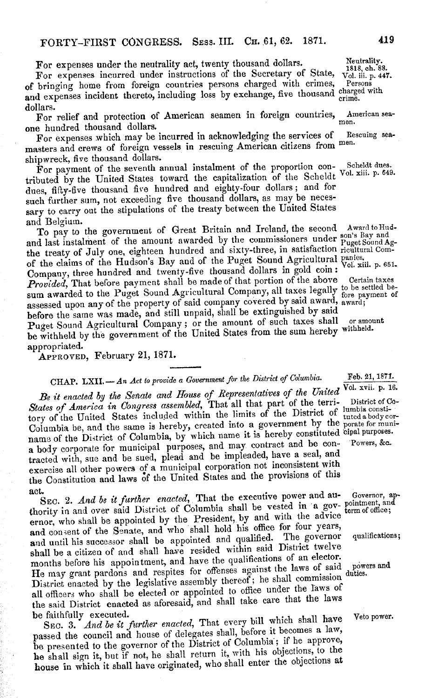For expenses under the neutrality act, twenty thousand dollars. Neutrality.<br>For expenses incurred under instructions of the Secretary of State, vol. iii. p. 447. For expenses incurred under instructions of the Secretary of State,  $\frac{1818}{101}$ ,  $\frac{1818}{101}$ ,  $\frac{1}{101}$ of bringing home from foreign countries persons charged with crimes, and expenses incident thereto, including loss by exchange, five thousand charged with dollars.

For relief and protection of American seamen in foreign countries, American seaone hundred thousand dollars.

For expenses which may be incurred in acknowledging the services of Rescuing seamasters and crews of foreign vessels in rescuing American citizens from men.

shipwreck, five thousand dollars.<br>For payment of the seventh annual instalment of the proportion con-For payment of the seventh annual instalment of the proportion con-<br>For payment of the Scheldt Vol. xiji, p. 64. tributed by the United States toward the capitalization of the Scheldt Vol. 2006. p. 649. dues, fifty-five thousand five hundred and eighty-four dollars; and for such further sum, not exceeding five thousand dollars, as may be necessary to carry out the stipulations of the treaty between the United States

and Belgium.<br>To pay to the government of Great Britain and Ireland, the second Award to Hud-To pay to the government of Great Britain and Ireland, the second Awardtonia and last instalment of the amount awarded by the commissioners under  $P_{\text{uget Sound}A_1}$ the treaty of July one, eighteen hundred and sixty-three, in satisfaction ricultural Comof the claims of the Hudson's Bay and of the Puget Sound Agricultural panies, p. 651. Company, three hundred and twenty-five thousand dollars in gold coin: **VOI. XIII.** p. 651.<br>Provided, That before payment shall be made of that portion of the above Certain taxes *Provided*, That before payment shall be made of that portion of the above Certain taxes sum awarded to the Puget Sound Agricultural Company, all taxes legally to be settled beassessed upon any of the property of said company covered by said award, award<br>about a said award award away away away award away award award; before the same was made, and still unpaid, shall be extinguished by said Puget Sound Agricultural Company; or the amount of such taxes shall or amount be withheld by the government of the United States from the sum hereby withheld. appropriated.

APPROVED, February 21, 1871.

## CHAP. LXII. - *An Act to provide a Government for the District of Columbia.* Feb. 21, 1871.<br>  $\sqrt{V}$  (1. 27, 27, 27, 27). **Polyncial**

*Be it enacted by the Senate and House of Representatives of the United* Vol. xvii. p. 16.<br>States of America in Congress assembled, That all that part of the terri-<br>lumbia consti-States of America in Congress assembled, That all that part of the terri-<br>tory of the United States included within the limits of the District of luted a body cor-Columbia be, and the same is hereby, created into a government by the porate for muniname of the District of Columbia, by which name it is hereby constituted cipal purposes. a body corporate for municipal purposes, and may contract and be contracted with, sue and be sued, plead and be impleaded, have a seal, and exercise all other powers of a municipal corporation not inconsistent with the Constitution and laws of the United States and the provisions of this **act.**

SEC. 2. *And be it further enacted*, That the executive power and au- Governor, apthority in and over said District of Columbia shall be vested in a gov- pointment, and ernor, who shall be appointed by the President, by and with the advice and consent of the Senate, and who shall hold his office for four years, and consent of the bonate, and the bonate and qualified. The governor qualifications; shall be a citizen of and shall have resided within said District twelve months before his appointment, and have the qualifications of an elector. months before his appointment, and have the qualitation the laws of said powers and He may grant pardons and respites for offenses against the laws of said duties District enacted by the legislative assembly thereof; he shall commission all officers who shall be elected or appointed to office under the laws of the said District enacted as aforesaid, and shall take care that the laws be faithfully executed.

SEC. 3. *And be it further enacted*, That every bill which shall have Vetopower. passed the council and house of delegates shall, before it becomes a law, be presented to the governor of the District of Columbia; if he approve, he shall sign it, hut if not, he shall return it, with his objections, to the house in which it shall have originated, who shall enter the objections at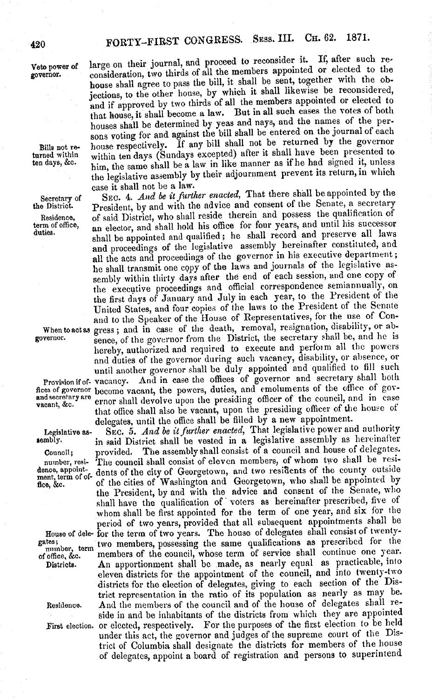## FORTY-FIRST CONGRESS. SESS. III. CH. 62. 1871.

and secretary are<br>vacant, &c.

Veto power of large on their journal, and proceed to reconsider it. If, after such re-<br>governor. consideration, two thirds of all the members appointed or elected to the consideration, two thirds of all the members appointed or elected to the house shall agree to pass the bill, it shall be sent, together with the objections, to the other house, by which it shall likewise be reconsidered, and if approved by two thirds of all the members appointed or elected to that house, it shall become a law. But in all such cases the votes of both houses shall be determined by yeas and nays, and the names of the persons voting for and against the bill shall be entered on the journal of each Bills not re- house respectively. If any bill shall not be returned by the governor turned within within ten days (Sundays excepted) after it shall have been presented to turned within within ten days (Sundays excepted) after it shall have been presented to him, the same shall be a law in like manner as if he had signed it, unless the legislative assembly by their adjournment prevent its return, in which case it shall not be a law.

Secretary of SEC. 4. *And be it further enacted*, That there shall be appointed by the the District. President, by and with the advice and consent of the Senate, a secretary President, by and with the advice and consent of the Senate, a secretary Residence, of said District, who shall reside therein and possess the qualification of term of office, an elector and shall hold his office for four years, and until his successor term of office, an elector, and shall hold his office for four years, and until his successor duties. shall be appointed and qualified; he shall record and preserve all laws and proceedings of the legislative assembly hereinafter constituted, and all the acts and proceedings of the governor in his executive department; he shall transmit one copy of the laws and journals of the legislative assembly within thirty days after the end of each session, and one copy of the executive proceedings and official correspondence semiannually, on the first days of January and July in each year, to the President of the United States, and four copies of the laws to the President of the Senate and to the Speaker of the House of Representatives, for the use of Con-When to act as gress; and in case of the death, removal, resignation, disability, or ab-<br>governor-<br>sence, of the governor from the District, the secretary shall be, and he is sence, of the governor from the District, the secretary shall be, and he is hereby, authorized and required to execute and perform all the powers and duties of the governor during such vacancy, disability, or absence, or until another governor shall be duly appointed and qualified to fill such Provision if of- vacancy. And in case the offices of governor and secretary shall both flces of governor become vacant, the powers, duties, and emoluments of the office of governor shall devolve upon the presiding officer of the council, and in case that office shall also be vacant, upon the presiding officer of the house of delegates, until the office shall be filled by a new appointment.

Legislative as-<br>sembly. **SEC. 5.** *And be it further enacted*, That legislative power and authority<br>sembly. **in said District shall be vested in a legislative assembly as hereinafter** in said District shall be vested in a legislative assembly as hereinafter Council; provided. The assembly shall consist of a council and house of delegates. number, resi- The council shall consist of eleven members, of whom two shall be residence, appoint-<br>ment term of of dents of the city of Georgetown, and two residents of the county outside fice, &c. of the cities of Washington and Georgetown, who shall be appointed by<br>fice, &c. the President, by and with the advice and consent of the Senate, who shall have the qualification of voters as hereinafter prescribed, five of whom shall be first appointed for the term of one year, and six for the period of two years, provided that all subsequent appointments shall be House of dele- for the term of two years. The house of delegates shall consist of twenty-<br>gates;<br>two members, possessing the same qualifications as prescribed for the gates; term two members, possessing the same qualifications as prescribed for the office, &c. members of the council, whose term of service shall continue one year. members of the council, whose term of service shall continue one year.<br>Districts. An apportionment shall be made, as nearly equal as practicable, into An apportionment shall be made, as nearly equal as practicable, into eleven districts for the appointment of the council, and into twenty-two districts for the election of delegates, giving to each section of the District representation in the ratio of its population as nearly as may be. Residence. And the members of the council and of the house of delegates shall reside in and be inhabitants of the districts from which they are appointed First election. or elected, respectively. For the purposes of the first election to be held under this act, the governor and judges of the supreme court of the District of Columbia shall designate the districts for members of the house of delegates, appoint a board of registration and persons to superintend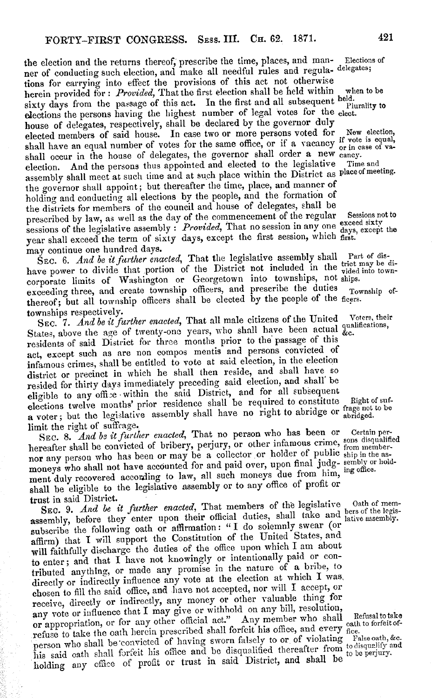the election and the returns thereof, prescribe the time, places, and man- Elections of ner of conducting such election, and make all needful rules and regula- delegates; tions for carrying into effect the provisions of this act not otherwise herein provided for: *Provided*, That the first election shall be held within when to be sixty days from the passage of this act. In the first and all subsequent held. sixty days from the passage of this act. In the first and all subsequent held. elections the persons having the highest number of legal votes for the elect. house of delegates, respectively, shall be declared by the governor duly elected members of said house. In case two or more persons voted for elected members of said house. In case two or more persons voted for New election shall have an equal number of votes for the same office, or if a vacancy  $\alpha$  or in case of va shall occur in the house of delegates, the governor shall order a new cancy. election. And the persons thus appointed and elected to the legislative Time and assembly shall meet at such time and at such place within the District as placeof meeting. the governor shall appoint; but thereafter the time, place, and manner of holding and conducting all elections by the people, and the formation of the districts for members of the council and house of delegates, shall be prescribed by law, as well as the day of the commencement of the regular Sessions not to sessions of the legislative assembly: *Provided*, That no session in any one exceed sixter year shall exceed the term of sixty days, except the first session, which first. may continue one hundred days.

SEC. 6. *And be it further enacted*, That the legislative assembly shall rate to dis-<br>have power to divide that portion of the District not included in the vided into town-<br>into the vided into towncorporate limits of Washington or Georgetown into townships, not ships.<br>exceeding three, and create township officers, and prescribe the duties Township ofexceeding three, and create township officers, and prescribe the duties thereof; but all township officers shall be elected by the people of the ficers.

townships respectively.<br>SEC. 7. And be it further enacted, That all male citizens of the United SEC. 7. *And be it further enacted*, That all male citizens of the United Voters, the States, above the age of twenty-ono years, who shall have been actual qualifications, residents of said District for three months prior to the passage of this act, except such as are non compos mentis and persons convicted of infamous crimes, shall be entitled to vote at said election, in the election district or precinct in which he shall then reside, and shall have so resided for thirty days immediately preceding said election, and shall' be eligible to any office within the said District, and for all subsequent elections twelve months' prior residence shall be required to constitute Right of sufa voter; but the legislative assembly shall have no right to abridge or the abridged. limit the right of suffrage.

SEC. 8. And be it further enacted, That no person who has been or Certain perhereafter shall be convicted of bribery, perjury, or other infamous crime, sons disqualified<br>hereafter shall be convicted of bribery, perjury, or other infamous crime, from membernor any person who has been or may be a collector or holder of public ship in the asmoneys who shall not have accounted for and paid over, upon final judg- sembly or holdment duly recovered according to law, all such moneys due from him, ing office. shall be eligible to the legislative assembly or to any office of profit or

trust in said District.<br>SEC. 9. And be it further enacted, That members of the legislative SEC. 9. *And be it further enacted*, That members of the legislative Cath of me assembly, before they enter upon their official duties, shall take and lative assembly. subscribe the following oath or affirmation: "I do solemnly swear (or affirm) that I will support the Constitution of the United States, and will faithfully discharge the duties of the office upon which I am about to enter; and that I have not knowingly or intentionally paid or contributed anything, or made any promise in the nature of a bribe, to directly or indirectly influence any vote at the election at which I was, chosen to fill the said office, and have not accepted, nor will I accept, or receive, directly or indirectly, any money or other valuable thing for any vote or influence that I may give or withhold on any bill, resolution, or appropriation, or for any other official act." Any member who shall or appropriation, or for any other official act." Any member who shall helical to different refuse to take the oath herein prescribed shall forfeit his office, and every <sub>fice</sub>.<br>The oath of the solution of the form of the form of the form of steady form of the second of the second of the s person who shall be convicted of having sworn falsely to or of violating Falseoath, ac. his said oath shall forfeit his office and be disqualified thereafter from to be perjury. holding any office of profit or trust in said District, and shall be to be perjury.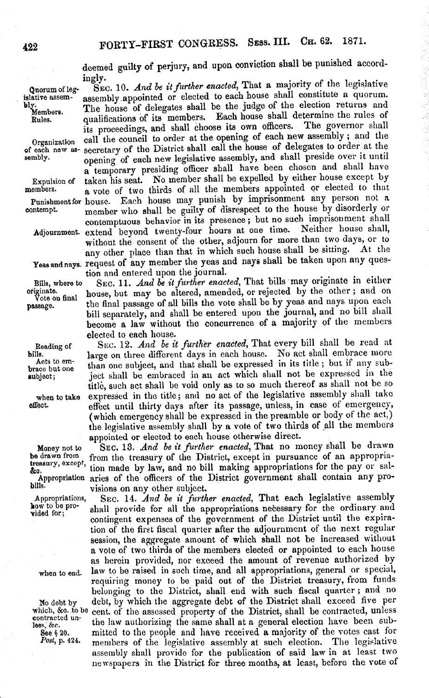treasury, except,<br>&o.

deemed guilty of perjury, and upon conviction shall be punished accordingly.

Quorumof leg- SEc. 10. *And be itfurther enacted,* That a majority of the legislative islative assem-<br>bly. The house of delegates shall be the judge of the election returns and<br>Members. The house of delegates shall be the judge of the election returns and<br>members. Each house shall determine the rules of y.<br>Members. The house of delegates shall be the judge of the election returns and<br>Rules. qualifications of its members. Each house shall determine the rules of qualifications of its members. Each house shall determine the rules of its precedings and shall choose its own officers. The governor shall its proceedings, and shall choose its own officers. Organization call the council to order at the opening of each new assembly; and the of each new as- secretary of the District shall call the house of delegates to order at the of each new as- secretary of the District shall call the house of delegates to order at the sembly. opening of each new legislative assembly, and shall preside over it until a temporary presiding officer shall have been chosen and shall have taken his seat. No member shall be expelled by either house except by Expulsion of taken his seat. No member shall be expelled by either house except by members. members. a vote of two thirds of all the members appointed or elected to that Punishment for house. Each house may punish by imprisonment any person not a contempt. member who shall be guilty of disrespect to the house by disorderly or member who shall be guilty of disrespect to the house by disorderly or contemptuous behavior in its presence; but no such imprisonment shall oxtand heyond twenty-four hours at one time. Neither house shall, Adjournment. extend beyond twenty-four hours at one time. without the consent of the other, adjourn for more than two days, or to any other place than that in which such house shall be sitting. At the Yeas and nays. request of any member the yeas and nays shall be taken upon any question and entered upon the journal.

Bills, where to SEC. 11. *And be it further enacted*, That bills may originate in either originate.<br>
Vote on final house, but may be altered, amended, or rejected by the other; and on<br>
Vote on final house, but may be alter house, but may be altered, amended, or rejected by the other; and on passage. the final passage of all bills the vote shall be by yeas and nays upon each bill separately, and shall be entered upon the journal, and no bill shall become a law without the concurrence of a majority of the members elected to each house.

Beading of SEC. 12. *And be it further enacted,* That every bill shall be read at bills. large on three different days in each house. No act shall embrace more has to em-<br>brace but one than one subject, and that shall be expressed in its title; but if any sub-Acts to em-<br>brace but one than one subject, and that shall be expressed in its title; but if any sub-<br>brace in the subject; ject shall be embraced in an act which shall not be expressed in the ject shall be embraced in an act which shall not be expressed in the title, such act shall be void only as to so much thereof as shall not be so when to take expressed in the title; and no act of the legislative assembly shall take<br>effect nutil thirty days after its passage, unless, in case of emergency, effect until thirty days after its passage, unless, in case of emergency, (which emergency shall be expressed in the preamble or body of the act,) the legislative assembly shall by a vote of two thirds of all the members appointed or elected to each house otherwise direct.

Money not to SEC. 13. *And be it further enacted*, That no money shall be drawn<br>be drawn from the treasury of the District, except in pursuance of an appropriafrom the treasury of the District, except in pursuance of an appropriation made by law, and no bill making appropriations for the pay or sal-Appropriation aries of the officers of the District government shall contain any provisions on any other subject.

Appropriations, SEC. 14. *And be it further enacted*, That each legislative assembly<br>how to be pro-<br>about the angle of the appropriations persense for the ordinary and  $\frac{\text{Row } \text{to } \text{oo } \text{pro}}{\text{yield for}}$  shall provide for all the appropriations necessary for the ordinary and contingent expenses of the government of the District until the expiration of the first fiscal quarter after the adjournment of the next regular session, the aggregate amount of which shall not be increased without a vote of two thirds of the members elected or appointed to each house as herein provided, nor exceed the amount of revenue authorized by when to end. law to be raised in such time, and all appropriations, general or special, requiring money to be paid out of the District treasury, from funds belonging to the District, shall end with such fiscal quarter; and no No debt by debt, by which the aggregate debt of the District shall exceed five per which, &c. to be cent. of the assessed property of the District, shall be contracted, unless which, &o. to be cent. of the assessed property of the District, shall be contracted, unless<br>contracted un the law authorizing the same shall at a general election have been sub-See § 20. mitted to the people and have received a majority of the votes cast for  $Post$ ,  $p. 424$ . members of the legislative assembly at such election. The legislative members of the legislative assembly at such election. The legislative assembly shall provide for the publication of said law in at least two newspapers in the District for three months, at least, before the vote of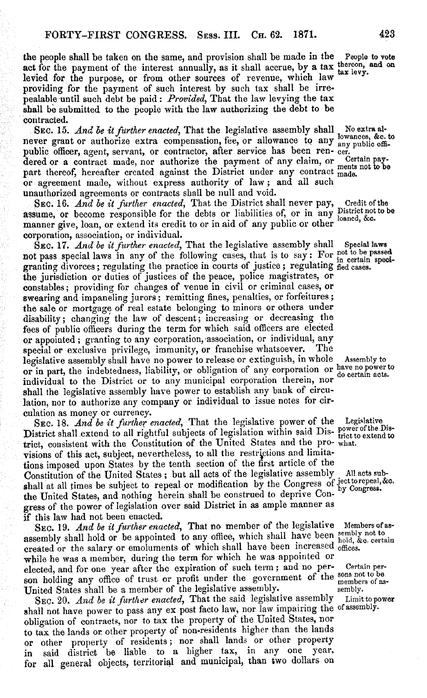the people shall be taken on the same, and provision shall be made in the People to vote act for the payment of the interest annually, as it shall accrue, by a tax thereon, and on levied for the purpose, or from other sources of revenue, which law tax levy. providing for the payment of such interest by such tax shall be irrepealable until such debt be paid: *Provided,* That the law levying the tax shall be submitted to the people with the law authorizing the debt to be contracted.

SEC. 15. *And be it further enacted*, That the legislative assembly shall No extra alnever grant or authorize extra compensation, fee, or allowance to any  $_{\text{any public off}}^{\text{nowances, sec.}}$ public officer, agent, servant, or contractor, after service has been ren- cer.<br>dered or a contract made nor authorize the payment of any claim, or Certain paydered or a contract made, nor authorize the payment of any claim, or Certain pay-<br>part thereof, hereafter created against the District under any contract made. or agreement made, without express authority of law; and all such unauthorized agreements or contracts shall be null and void.

SEC. 16. *And be it further enacted*, That the District shall never pay, Credit of the assume, or become responsible for the debts or liabilities of, or in any District not be manner give, loan, or extend its credit to or in aid of any public or other nance corporation, association, or individual.

SEC. 17. *And be it further enacted*, That the legislative assembly shall Special laws not pass special laws in any of the following cases, that is to say: For not to be passed granting divorces; regulating the practice in courts of justice; regulating fied cases. the jurisdiction or duties of justices of the peace, police magistrates, or constables; providing for changes of venue in civil or criminal cases, or swearing and impaneling jurors; remitting fines, penalties, or forfeitures; the sale or mortgage of real estate belonging to minors or others under disability; changing the law of descent; increasing or decreasing the fees of public officers during the term for which said officers are elected or appointed; granting to any corporation, association, or individual, any special or exclusive privilege, immunity, or franchise whatsoever. The special or exclusive privilege, immunity, or franchise whatsoever. legislative assembly shall have no power to release or extinguish, in whole Assembly to or in part, the indebtedness, liability, or obligation of any corporation or have no power to individual to the District or to any municipal corporation therein, nor do certain acts. shall the legislative assembly have power to establish any bank of circulation, nor to authorize any company or individual to issue notes for circulation as money or currency.

SEC. 18. *And be it further enacted,* That the legislative power of the Legislative District shall extend to all rightful subjects of legislation within said Dis- power of the District, consistent with the Constitution of the United States and the pro- what. visions of this act, subject, nevertheless, to all the restrictions and limitations imposed upon States by the tenth section of the first article of the Constitution of the United States; but all acts of the legislative assembly All acts sub-<br>shall at all times be subject to repeal or modification by the Congress of  $_{\rm by\ Cougress.}$ the United States, and nothing herein shall be construed to deprive Congress of the power of legislation over said District in as ample manner as if this law had not been enacted.

SEC. 19. *And be it further enacted*, That no member of the legislative Members of asassembly shall hold or be appointed to any office, which shall have been sembly not to created or the salary or emoluments of which shall have been increased offices. while he was a member, during the term for which he was appointed or elected, and for one year after the expiration of such term; and no per- Certain person holding any office of trust or profit under the government of the sons not to be members of as-<br>Hinted States shall be a member of the legislative assembly. United States shall be a member of the legislative assembly.<br>SEC 20. And he it further enacted. That the said legislative assembly Limit to power

SEC. 20. *And be it further enacted*, That the said legislative assembly shall not have power to pass any ex post facto law, nor law impairing the of assembly. obligation of contracts, nor to tax the property of the United States, nor to tax the lands or other property of non-residents higher than the lands or other property of residents; nor shall lands or other property in said district be liable to a higher tax, in any one year, for all general objects, territorial and municipal, than two dollars on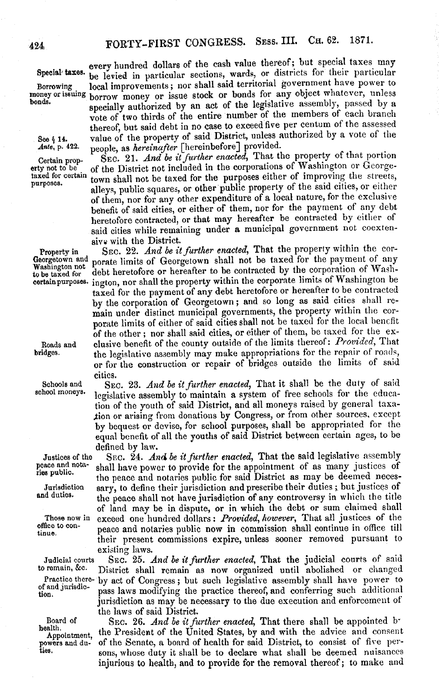every hundred dollars of the cash value thereof; but special taxes may Special taxes. be levied in particular sections, wards, or districts for their particular Borrowing local improvements; nor shall said territorial government have power to money or issuing horrow money or issue stock or bonds for any object whatever, unless money or issuing borrow money or issue stock or bonds for any object whatever, unless<br>bonds. specially authorized by an act of the legislative assembly, passed by a vote of two thirds of the entire number of the members of each branch thereof, but said debt in no case to exceed five per centum of the assessed See § 14. value of the property of said District, unless authorized by a vote of the *Ante*, p. 422. people, as *hereinafter* [hereinbefore] provided. people, as *hereinafter* [hereinbefore] provided.

Certain prop-<br>
SEC. 21. *And be it further enacted*, That the property of that portion<br>
erty not to be<br>
of the District not included in the corporations of Washington or Georgeerty not to be of the District not included in the corporations of Washington or George-<br>taxed for certain  $t_{\text{t-me}}$  aboll not be taxed for the purposes either of improving the streets. taxed for certain town shall not be taxed for the purposes either of improving the streets, alleys, public squares, or other public property of the said cities, or either of them, nor for any other expenditure of a local nature, for the exclusive benefit of said cities, or either of them, nor for the payment of any debt heretofore contracted, or that may hereafter be contracted by either of said cities while remaining under a municipal government not coextensive with the District.

Property in SEC. 22. *And be it further enacted,* That the property within the cor-Georgetown and porate limits of Georgetown shall not be taxed for the payment of any Washington not debt heretofore or hereafter to be contracted by the corporation of Washmassing on the debt heretofore or hereafter to be contracted by the corporation of Wash-<br>to be taxed for debt heretofore or hereafter to be contracted by the corporation of Washington be<br>certain purposes. ington, nor shall ington, nor shall the property within the corporate limits of Washington be taxed for the payment of any debt heretofore or hereafter to be contracted by the corporation of Georgetown; and so long as said cities shall remain under distinct municipal governments, the property within the corporate limits of either of said cities shall not be taxed for the local benefit of the other; nor shall said cities, or either of them, be taxed for the ex-Roads and clusive benefit of the county outside of the limits thereof: *Provided*, That the legislative assembly may make appropriations for the repair of roads, the legislative assembly may make appropriations for the repair of roads, or for the construction or repair of bridges outside the limits of said cities.

Schools and SEC. 23. *And be it further enacted*, That it shall be the duty of said school moneys. lavislative assembly to maintain a system of free schools for the educalegislative assembly to maintain a system of free schools for the education of the youth of said District, and all moneys raised by general taxa- .tion or arising from donations by Congress, or from other sources, except by bequest or devise, for school purposes, shall be appropriated for the equal benefit of all the youths of said District between certain ages, to be defined by law.

Justices of the SEc. 24. *And be it further enacted,* That the said legislative assembly peace and nota-<br>ries public.  $s^{\mu}$   $s^{\mu}$  the peace and notaries public for said District as may be deemed neces-<br>Jurisdiction sary, to define their iurisdiction and prescribe their duties ; but justices of Jurisdiction sary, to define their jurisdiction and prescribe their duties; but justices of and duties.<br>studies the peace shall not have jurisdiction of any controversy in which the title the peace shall not have jurisdiction of any controversy in which the title of land may be in dispute, or in which the debt or sum claimed shall Those now in exceed one hundred dollars: *Provided, however,* That all justices of the omce to con-<br>tinue. peace and notaries public now in commission shall continue in office till their present commissions expire, unless sooner removed pursuant to existing laws.

Judicial courts SEC. 25. *And be it further enacted*, That the judicial courts of said<br>to remain, &c. District shall remain as now organized until abolished or changed District shall remain as now organized until abolished or changed Practice there- by act of Congress; but such legislative assembly shall have power to of and jurisdic- negaleurs medifying the prectice thereof and conforming such additional of and jurisdic- pass laws modifying the practice thereof, and conferring such additional jurisdiction as may be necessary to the due execution and enforcement of the *laws* of said District.

Board of SEc. 26. *And be it further enacted,* That there shall be appointed b-Appointment, the President of the United States, by and with the advice and consent powers and du-<br>ties. sons whose duty it shall be to deelere what shall be deemed nuisances sons, whose duty it shall be to declare what shall be deemed nuisances injurious to health, and to provide for the removal thereof; to make and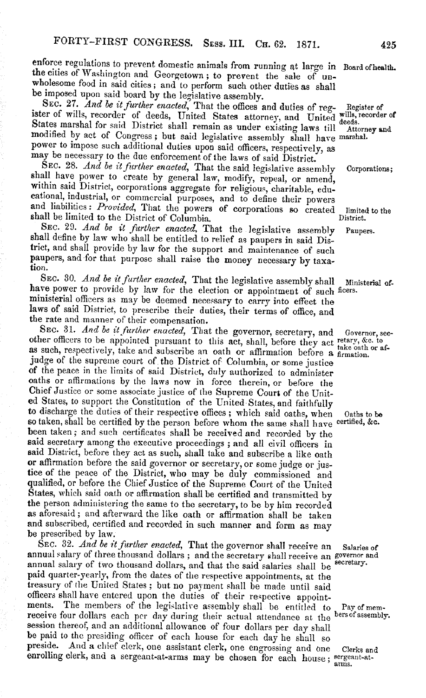enforce regulations to prevent domestic animals from running at large in Board of health.<br>the cities of Washington and Georgetown; to prevent the sale of un-<br>wholesome food in said cities; and to perform such other duties

SEC. 27. And be it further enacted, That the offices and duties of reg-Register of ister of wills, recorder of deeds, United States attorney, and United deeds. States marshal for said District shall remain as under existing laws till Attorney and modified by act of Congress; but said legislative assembly shall have marshal. power to impose such additional duties upon said officers, respectively, as may be necessary to the due enforcement of the laws of said District.<br>SEC. 28. And be it further enacted, That the said legislative assembly

SEC. 28. And be it further enacted, That the said legislative assembly Corporations;<br>shall have power to create by general law, modify, repeal, or amend,<br>within said District, corporations aggregate for religious, charitab

SEC. 29. *And be it further enacted*, That the legislative assembly Paupers. shall define by law who shall be entitled to relief as paupers in said District, and shall provide by law for the support and maintenance of such paupers, and for that purpose shall raise the money necessary by taxation.

SEC. 30. *And be it further enacted*, That the legislative assembly shall Ministerial of-<br>have power to provide by law for the election or appointment of such ficers. ministerial officers as may be deemed necessary to carry into effect the laws of said District, to prescribe their duties, their terms of office, and the rate and manner of their compensation.<br>SEC. 31. And be it further enacted, That the governor, secretary, and

SEC. 31. And be it further enacted, That the governor, secretary, and Governor, sec-<br>other officers to be appointed pursuant to this act, shall, before they act retary, &c. to<br>as such, respectively, take and subscribe an o judge of the supreme court of the District of Columbia, or some justice of the peace in the limits of said District, duly authorized to administer oaths or affirmations by the laws now in force therein, or before the Chief Justice or some associate justice of the Supreme Court of the United States, to support the Constitution of the United States, and faithfully<br>to discharge the duties of their respective offices; which said oaths, when Oaths to be<br>so taken, shall be certified by the person before whom the been taken; and such certificates shall be received and recorded by the said secretary among the executive proceedings; and all civil officers in said District, before they act as such, shall take and subscribe a like oath said District, before they act as such, shall take and subscribe a like oath or affirmation before the said governor or secretary, or some judge or jus- tice of the peace of the District, who may be duly commissioned and qualified, or before the Chief Justice of the Supreme Court of the United States, which said oath or affirmation shall be certified and transmitted by the person administering the same to the secretary, to be by him recorded as aforesaid; and afterward the like oath or affirmation shall be taken and subscribed, certified and recorded in such manner and form as may be prescribed by law.<br>SEC. 32. And be it further enacted, That the governor shall receive an

SEC. 32. *And be it further enacted*, That the governor shall receive an Salaries of annual salary of three thousand dollars; and the secretary shall receive an governor and annual salary of two thousand dollars, and that paid quarter-yearly, from the dates of the respective appointments, at the treasury of the United States; but no payment shall be made until said officers shall have entered upon the duties of their respective appointments. The members of the legislative assembly shall be entitled to Pay of mem-<br>receive four dollars each per day during their actual attendance at the <sup>bers of assembly</sup>.<br>session thereof, and an additional allowance of fo preside. And a chief clerk, one assistant clerk, one engrossing and one Clerks and enrolling clerk, and a sergeant-at-arms may be chosen for each house; sergeant-at-

arms.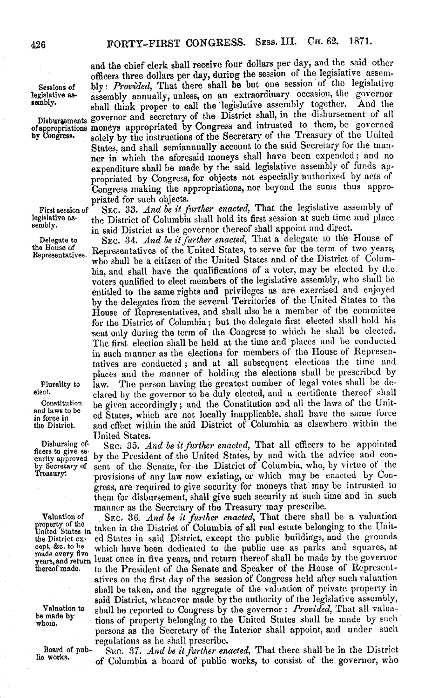made every five

and the chief clerk shall receive four dollars per day, and the said other officers three dollars per day, during the session of the legislative assem-Sessions of bly: *Provided*, That there shall be but one session of the legislative<br>legislative as-<br>legislative as-<br>sesembly annually unless, on an extraordinary occasion, the governor legislative as- assembly annually, unless, on an extraordinary occasion, the governor shall think proper to call the legislative assembly together. Disburaements governor and secretary of the District shall, in the disbursement of all of appropriations moneys appropriated by Congress and intrusted to them, be governed of appropriated by Congress and intrusted to them, be governed of appropriations moneys appropriated by Congress. solely by the instructions of the Secretary of the Treasury of the United States, and shall semiannually account to the said Secretary for the manner in which the aforesaid moneys shall have been expended; and no expenditure shall be made by the said legislative assembly of funds appropriated by Congress, for objects not especially authorized by acts of Congress making the appropriations, nor beyond the sums thus appropriated for such objects.

First session of SEC. 33. *And be it further enacted*, That the legislative assembly of legislative as-<br>legislative as-<br>the District of Columbia shall hold its first session at such time and place legislative as-<br>sembly.<br> $\therefore$  the District of Columbia shall hold its first session at such time and place in said District as the governor thereof shall appoint and direct.

Delegate to SEC. 34. *And be it further enacted*, That a delegate to the House of the Bouse of the Lemma of the United States to serve for the term of two years: the House of Representatives of the United States, to serve for the term of two years;<br>Representatives. Representatives of the United States, and the District of Column who shall be a citizen of the United States and of the District of Columbia, and shall have the qualifications of a voter, may be elected by the voters qualified to elect members of the legislative assembly, who shall be entitled to the same rights and privileges as are exercised and enjoyed by the delegates from the several Territories of the United States to the House of Representatives, and shall also be a member of the committee for the District of Columbia; but the delegate first elected shall hold his seat only during the term of the Congress to which he shall be elected. The first election shall be held at the time and places and be conducted in such manner as the elections for members of the House of Representatives are conducted; and at all subsequent elections the time and places and the manner of holding the elections shall be prescribed by Plurality to law. The person having the greatest number of legal votes shall be deest. clared by the governor to be duly elected, and a certificate thereof shall<br>Constitution he given accordingly, and the Constitution and all the laws of the Unit-Constitution be given accordingly; and the Constitution and all the laws of the Unitand laws to be ed States, which are not locally inapplicable, shall have the same force<br>the District. and effect within the said District of Columbia as elsewhere within the and effect within the said District of Columbia as elsewhere within the

United States.<br>SEC: 35. And be it further enacted, That all officers to be appointed Disbursing of-<br>ficers to give se-<br>curity approved by the President of the United States, by and with the advice and con-<br>curity approved by Secretary of sent of the Senate, for the District of Columbia, who, by virtue of t by Secretary of sent of the Senate, for the District of Columbia, who, by virtue of the Treasury. provisions of any law now existing, or which may be enacted by Congress, are required to give security for moneys that may be intrusted to them for disbursement, shall give such security at such time and in such manner as the Secretary of the Treasury may prescribe.

Valuation of SEC. 36. *And be it further enacted,* That there shall be a valuation property of the Unit-<br>United States in taken in the District of Columbia of all real estate belonging to the Unitthe District ex- ed States in said District, except the public buildings, and the grounds<br>cept, &c. to be which have been dedicated to the public use as parks and squares, at which have been dedicated to the public use as parks and squares, at years, and return least once in five years, and return thereof shall be made by the governor<br>thereof made. to the President of the Senate and Speaker of the House of Representto the President of the Senate and Speaker of the House of Representatives on the first day of the session of Congress held after such valuation shall be taken, and the aggregate of the valuation of private property in said District, whenever made by the authority of the legislative assembly, Valuation to shall be reported to Congress by the governor: *Provided,* That all valuawhom. by tions of property belonging to the United States shall be made by such persons as the Secretary of the Interior shall appoint, and under such regulations as he shall prescribe.

Board of pub- SEC. 37. *And be it further enacted,* That there shall be in the District of Columbia a board of public works, to consist of the governor, who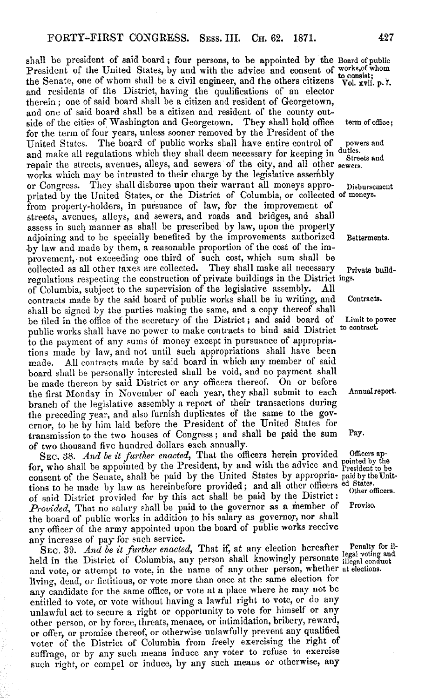shall be president of said board; four persons, to be appointed by the Board of public President of the United States, by and with the advice and consent of works,of whom the Senate, one of whom shall be a civil engineer, and the others citizens Vol. xvii. p. 7. and residents of the District, having the qualifications of an elector therein; one of said board shall be a citizen and resident of Georgetown, and one of said board shall be a citizen and resident of the county outside of the cities of Washington and Georgetown. They shall hold office term of office; for the term of four years, unless sooner removed by the President of the The board of public works shall have entire control of powers and and make all regulations which they shall deem necessary for keeping in duties. repair the streets, avenues, alleys, and sewers of the city, and all other sewers. works which may be intrusted to their charge by the legislative assembly or Congress. They shall disburse upon their warrant all moneys appro- Disbursement priated by the United States, or the District of Columbia, or collected of moneys. from property-holders, in pursuance of law, for the improvement of streets, avenues, alleys, and sewers, and roads and bridges, and shall assess in such manner as shall be prescribed by law, upon the property adjoining and to be specially benefited by the improvements authorized Betterments. by law and made by them, a reasonable proportion of the cost of the improvement, not exceeding one third of such cost, which sum shall be collected as all other taxes are collected. They shall make all necessary Private buildregulations respecting the construction of private buildings in the District ings.<br>of Columbia, subject to the supervision of the legislative assembly. All of Columbia, subject to the supervision of the legislative assembly. contracts made by the said board of public works shall be in writing, and Contracts. shall be signed by the parties making the same, and a copy thereof shall be filed in the office of the secretary of the District; and said board of Limit to power public works shall have no power to make contracts to bind said District to contract. to the payment of any sums of money except in pursuance of appropriations made by law, and not until such appropriations shall have been made. All contracts made by said board in which any member of said board shall be personally interested shall be void, and no payment shall be made thereon by said District or any officers thereof. On or before the first Monday in November of each year, they shall submit to each Annualreport branch of the legislative assembly a report of their transactions during the preceding year, and also furnish duplicates of the same to the governor, to be by him laid before the President of the United States for transmission to the two houses of Congress; and shall be paid the sum Pay. of two thousand five hundred dollars each annually.

SEC. 38. *And be it further enacted,* That the officers herein provided Officers apfor, who shall be appointed by the President, by and with the advice and President to be consent of the Senate, shall be paid by the United States by appropria- paid by the Unittions to be made by law as hereinbefore provided; and all other officers ed States. of said District provided for by this act shall be paid by the District:  $\frac{U_{\text{total}}}{V_{\text{total}}}$  That no salary shall be naid to the governor as a member of Proviso. *Provided*, That no salary shall be paid to the governor as a member of the board of public works in addition to his salary as governor, nor shall any officer of the army appointed upon the board of public works receive any increase of pay for such service.

SEC. 39. *And be it further enacted*, That if, at any election hereafter, Penalty for ilheld in the District of Columbia, any person shall knowingly personate legal voting and held in the District of Columbia, any person shall knowingly personate illegal conduct and vote, or attempt to vote, in the name of any other person, whether at elections. living, dead, or fictitious, or vote more than once at the same election for any candidate for the same office, or vote at a place where he may not be entitled to vote, or vote without having a lawful right to vote, or do any unlawful act to secure a right or opportunity to vote for himself or any other person, or by force, threats, menace, or intimidation, bribery, reward, or offer, or promise thereof, or otherwise unlawfully prevent any qualified voter of the District of Columbia from freely exercising the right of suffrage, or by any such means induce any voter to refuse to exercise such right, or compel or induce, by any such means or otherwise, any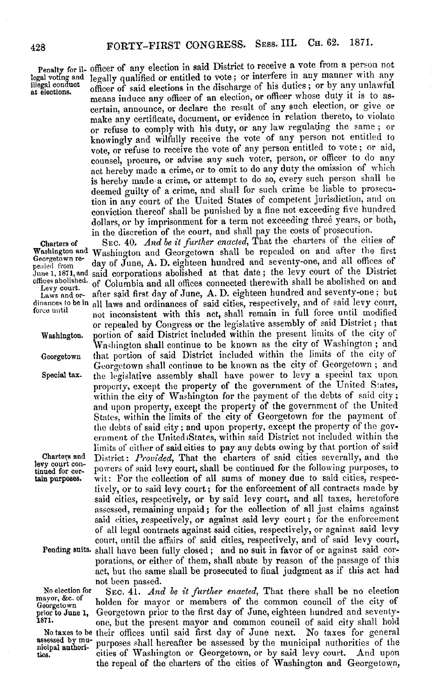Penalty for il- officer of any election in said District to receive a vote from a person not<br>legal voting and legally qualified or entitled to vote; or interfere in any manner with any legal voting and legally qualified or entitled to vote; or interfere in any manner with any illegal conduct  $\alpha$  and  $\alpha$  and  $\alpha$  and  $\alpha$  and  $\alpha$  and  $\alpha$  and  $\alpha$  and  $\alpha$  and  $\alpha$  and  $\alpha$  and  $\alpha$  and  $\alpha$  and  $\alpha$  illegal conduct officer of said elections in the discharge of his duties; or by any unlawful means induce any officer of an election, or officer whose duty it is to ascertain, announce, or declare the result of any such election, or give or make any certificate, document, or evidence in relation thereto, to violate or refuse to comply with his duty, or any law regulating the same; or knowingly and wilfully receive the vote of any person not entitled to vote, or refuse to receive the vote of any person entitled to vote; or aid, counsel, procure, or advise any such voter, person, or officer to do any act hereby made a crime, or to omit to do any duty the omission of which is hereby made a crime, or attempt to do so, every such person shall be deemed guilty of a crime, and shall for such crime be liable to prosecution in any court of the United States of competent jurisdiction, and on conviction thereof shall be punished by a fine not exceeding five hundred dollars, or by imprisonment for a term not exceeding three years, or both, in the discretion of the court, and shall pay the costs of prosecution.

Charters of SEC. 40. *And be it further enacted,* That the charters of the cities of Washington and Washington and Georgetown shall be repealed on and after the first<br>Georgetown re-<br>nealed from the June, A. D. eighteen hundred and seventy-one, and all offices of peoled from day of June, A. D. eighteen hundred and seventy-one, and all offices of June 1, 1871, and said corporations abolished at that date; the levy court of the District offices abolished. of Columbia and all offices connected therewith shall be abolished on and<br>Levy court. Laws and or- after said first day of June, A. D. eighteen hundred and seventy-one; but dinances to be in all laws and ordinances of said cities, respectively, and of said levy court, force until modified force until not inconsistent with this act, shall remain in full force until modified or repealed by Congress or the legislative assembly of said District; that Washington. portion of said District included within the present limits of the city of Washington shall continue to be known as the city of Washington ; and Georgetown that portion of said District included within the limits of the city of Georgetown shall continue to be known as the city of Georgetown; and Special tax. the legislative assembly shall have power to levy a special tax upon property, except the property of the government of the United States, within the city of Washington for the payment of the debts of said city; and upon property, except the property of the government of the United States, within the limits of the city of Georgetown for the payment of the debts of said city; and upon property, except the property of the government of the United States, within said District not included within the limits of either of said cities to pay any debts owing by that portion of said Charters and District: *Provided*, That the charters of said cities severally, and the levy court conlevy court con-<br>tinued for cer- powers of said levy court, shall be continued for the following purposes, to<br>tain purposes. wit: For the collection of all sums of money due to said cities, respecwit: For the collection of all sums of money due to said cities, respectively, or to said levy court; for the enforcement of all contracts made by said cities, respectively, or by said levy court, and all taxes, heretofore assessed, remaining unpaid; for the collection of all just claims against said cities, respectively, or against said levy court; for the enforcement of all legal contracts against said cities, respectively, or against said levy court, until the affairs of said cities, respectively, and of said levy court, Pending snits. shall have been fully closed; and no suit in favor of or against said corporations, or either of them, shall abate by reason of the passage of this act, but the same shall be prosecuted to final judgment as if this act had not been passed.

No election for S<sub>EC</sub>, 41. *And be it further enacted*, That there shall be no election mayor, &c. of bolder for mover or members of the common council of the city of  $\frac{1}{2}$  mayor,  $\frac{1}{2}$  or holden for mayor or members of the common council of the city of prior to June 1, Georgetown prior to the first day of June, eighteen hundred and seventy-<br>1871. Consult the present mayor and common council of said city shall hold one, but the present mayor and common council of said city shall hold No taxes to be their offices until said first day of June next. No taxes for general<br>assessed by mu- purposes shall hereafter be assessed by the municipal authorities of the assessed by mu- purposes shall hereafter be assessed by the municipal authorities of the niopal authori- cities of Washington or Georgetown, or by said levy court. And upon **ties.** cities of Washington or Georgetown, or by said levy court. And upon the repeal of the charters of the cities of Washington and Georgetown,